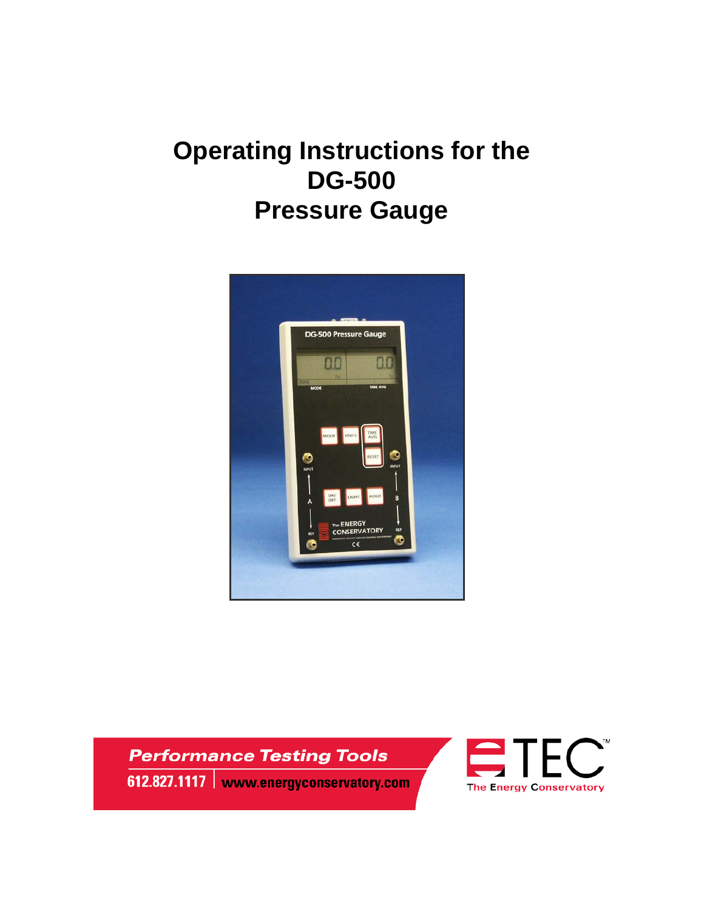# **Operating Instructions for the DG-500 Pressure Gauge**



**Performance Testing Tools** 612.827.1117 | www.energyconservatory.com

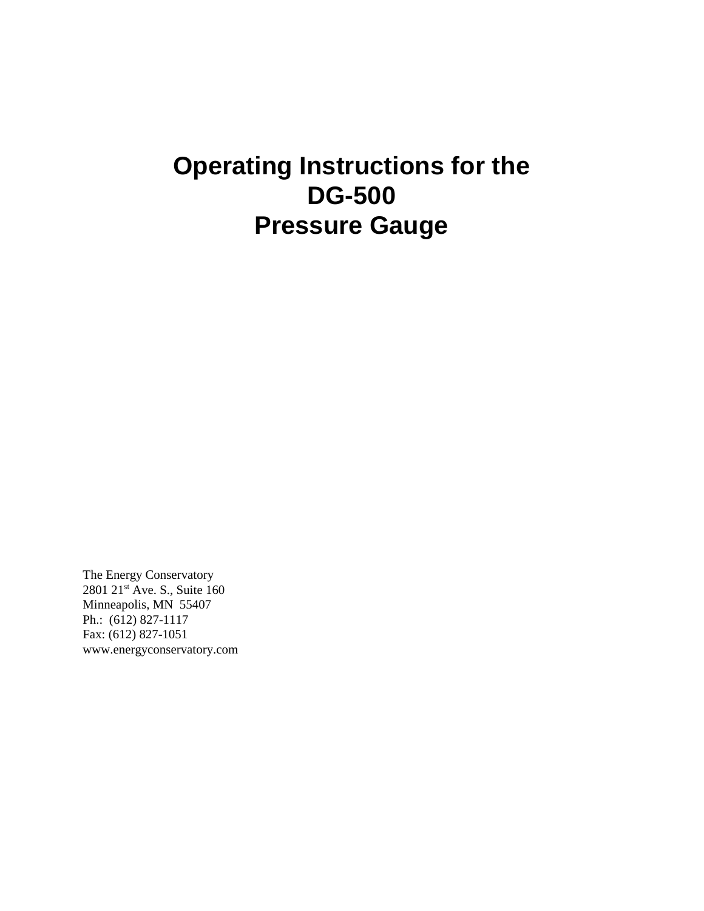# **Operating Instructions for the DG-500 Pressure Gauge**

The Energy Conservatory 2801 21<sup>st</sup> Ave. S., Suite 160 Minneapolis, MN 55407 Ph.: (612) 827-1117 Fax: (612) 827-1051 www.energyconservatory.com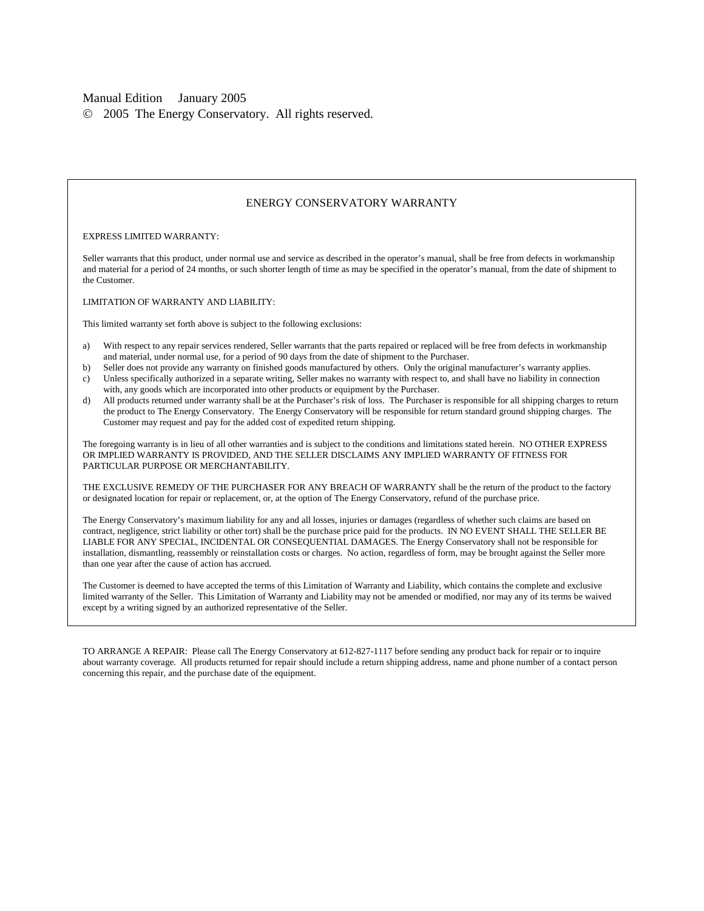#### Manual Edition January 2005

2005 The Energy Conservatory. All rights reserved.

#### ENERGY CONSERVATORY WARRANTY

#### EXPRESS LIMITED WARRANTY:

Seller warrants that this product, under normal use and service as described in the operator's manual, shall be free from defects in workmanship and material for a period of 24 months, or such shorter length of time as may be specified in the operator's manual, from the date of shipment to the Customer.

LIMITATION OF WARRANTY AND LIABILITY:

This limited warranty set forth above is subject to the following exclusions:

- a) With respect to any repair services rendered, Seller warrants that the parts repaired or replaced will be free from defects in workmanship and material, under normal use, for a period of 90 days from the date of shipment to the Purchaser.
- b) Seller does not provide any warranty on finished goods manufactured by others. Only the original manufacturer's warranty applies.
- c) Unless specifically authorized in a separate writing, Seller makes no warranty with respect to, and shall have no liability in connection with, any goods which are incorporated into other products or equipment by the Purchaser.
- d) All products returned under warranty shall be at the Purchaser's risk of loss. The Purchaser is responsible for all shipping charges to return the product to The Energy Conservatory. The Energy Conservatory will be responsible for return standard ground shipping charges. The Customer may request and pay for the added cost of expedited return shipping.

The foregoing warranty is in lieu of all other warranties and is subject to the conditions and limitations stated herein. NO OTHER EXPRESS OR IMPLIED WARRANTY IS PROVIDED, AND THE SELLER DISCLAIMS ANY IMPLIED WARRANTY OF FITNESS FOR PARTICULAR PURPOSE OR MERCHANTABILITY.

THE EXCLUSIVE REMEDY OF THE PURCHASER FOR ANY BREACH OF WARRANTY shall be the return of the product to the factory or designated location for repair or replacement, or, at the option of The Energy Conservatory, refund of the purchase price.

The Energy Conservatory's maximum liability for any and all losses, injuries or damages (regardless of whether such claims are based on contract, negligence, strict liability or other tort) shall be the purchase price paid for the products. IN NO EVENT SHALL THE SELLER BE LIABLE FOR ANY SPECIAL, INCIDENTAL OR CONSEQUENTIAL DAMAGES. The Energy Conservatory shall not be responsible for installation, dismantling, reassembly or reinstallation costs or charges. No action, regardless of form, may be brought against the Seller more than one year after the cause of action has accrued.

The Customer is deemed to have accepted the terms of this Limitation of Warranty and Liability, which contains the complete and exclusive limited warranty of the Seller. This Limitation of Warranty and Liability may not be amended or modified, nor may any of its terms be waived except by a writing signed by an authorized representative of the Seller.

TO ARRANGE A REPAIR: Please call The Energy Conservatory at 612-827-1117 before sending any product back for repair or to inquire about warranty coverage. All products returned for repair should include a return shipping address, name and phone number of a contact person concerning this repair, and the purchase date of the equipment.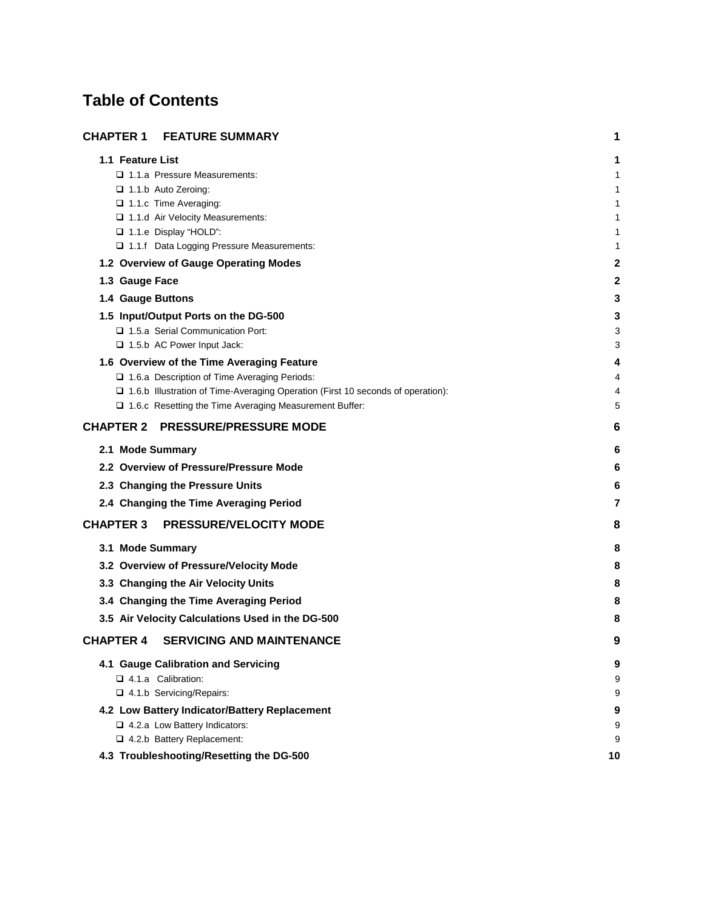# **Table of Contents**

| <b>CHAPTER 1</b><br><b>FEATURE SUMMARY</b>                                        | 1      |
|-----------------------------------------------------------------------------------|--------|
| 1.1 Feature List                                                                  | 1      |
| □ 1.1.a Pressure Measurements:                                                    | 1      |
| $\Box$ 1.1.b Auto Zeroing:                                                        | 1      |
| 1.1.c Time Averaging:                                                             | 1      |
| 1.1.d Air Velocity Measurements:<br>□ 1.1.e Display "HOLD":                       | 1<br>1 |
| 1.1.f Data Logging Pressure Measurements:                                         | 1      |
| 1.2 Overview of Gauge Operating Modes                                             | 2      |
| 1.3 Gauge Face                                                                    | 2      |
| 1.4 Gauge Buttons                                                                 | 3      |
| 1.5 Input/Output Ports on the DG-500                                              | З      |
| 1.5.a Serial Communication Port:                                                  | 3      |
| 1.5.b AC Power Input Jack:                                                        | 3      |
| 1.6 Overview of the Time Averaging Feature                                        | 4      |
| □ 1.6.a Description of Time Averaging Periods:                                    | 4      |
| □ 1.6.b Illustration of Time-Averaging Operation (First 10 seconds of operation): | 4      |
| □ 1.6.c Resetting the Time Averaging Measurement Buffer:                          | 5      |
| <b>CHAPTER 2 PRESSURE/PRESSURE MODE</b>                                           | 6      |
| 2.1 Mode Summary                                                                  | 6      |
| 2.2 Overview of Pressure/Pressure Mode                                            | 6      |
| 2.3 Changing the Pressure Units                                                   | 6      |
| 2.4 Changing the Time Averaging Period                                            | 7      |
| <b>CHAPTER 3</b><br><b>PRESSURE/VELOCITY MODE</b>                                 | 8      |
| 3.1 Mode Summary                                                                  | 8      |
| 3.2 Overview of Pressure/Velocity Mode                                            | 8      |
| 3.3 Changing the Air Velocity Units                                               | 8      |
| 3.4 Changing the Time Averaging Period                                            | 8      |
| 3.5 Air Velocity Calculations Used in the DG-500                                  | 8      |
| <b>CHAPTER 4</b><br><b>SERVICING AND MAINTENANCE</b>                              | 9      |
| 4.1 Gauge Calibration and Servicing                                               | 9      |
| □ 4.1.a Calibration:                                                              | 9      |
| 4.1.b Servicing/Repairs:                                                          | 9      |
| 4.2 Low Battery Indicator/Battery Replacement                                     | 9      |
| □ 4.2.a Low Battery Indicators:                                                   | 9      |
| 4.2.b Battery Replacement:                                                        | 9      |
| 4.3 Troubleshooting/Resetting the DG-500                                          | 10     |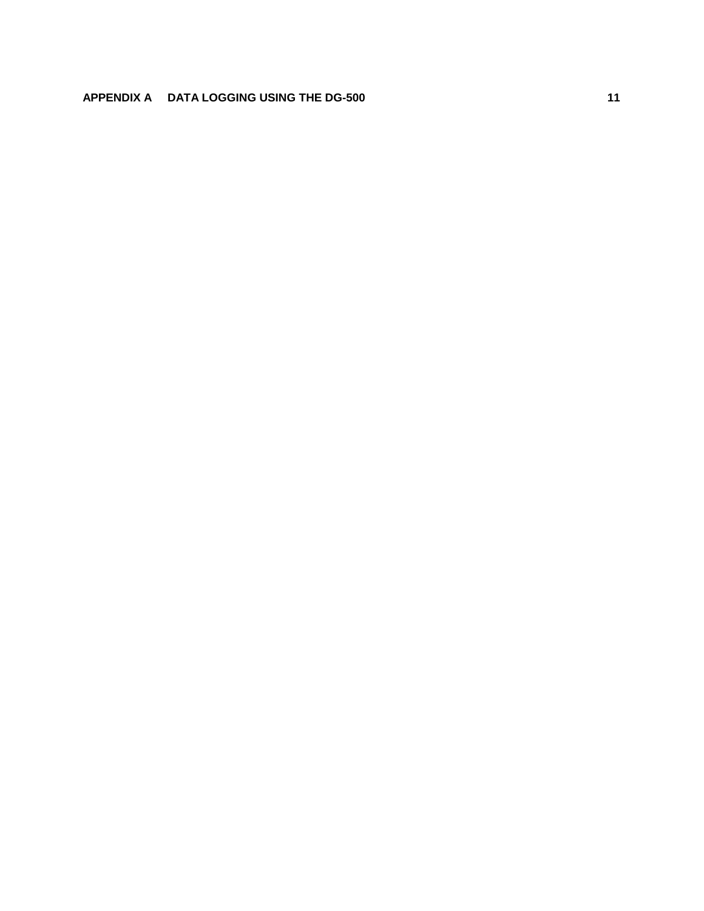## **APPENDIX A DATA LOGGING USING THE DG-500 11**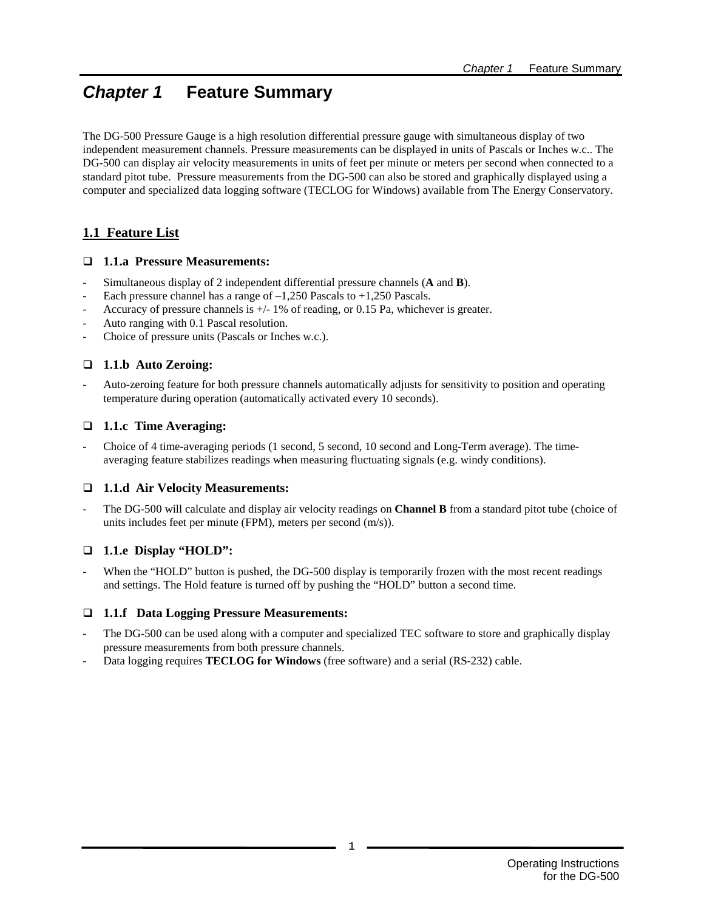# *Chapter 1* **Feature Summary**

The DG-500 Pressure Gauge is a high resolution differential pressure gauge with simultaneous display of two independent measurement channels. Pressure measurements can be displayed in units of Pascals or Inches w.c.. The DG-500 can display air velocity measurements in units of feet per minute or meters per second when connected to a standard pitot tube. Pressure measurements from the DG-500 can also be stored and graphically displayed using a computer and specialized data logging software (TECLOG for Windows) available from The Energy Conservatory.

## **1.1 Feature List**

### **1.1.a Pressure Measurements:**

- Simultaneous display of 2 independent differential pressure channels (**A** and **B**).
- Each pressure channel has a range of  $-1,250$  Pascals to  $+1,250$  Pascals.
- Accuracy of pressure channels is  $+/- 1\%$  of reading, or 0.15 Pa, whichever is greater.
- Auto ranging with 0.1 Pascal resolution.
- Choice of pressure units (Pascals or Inches w.c.).

### **1.1.b Auto Zeroing:**

- Auto-zeroing feature for both pressure channels automatically adjusts for sensitivity to position and operating temperature during operation (automatically activated every 10 seconds).

### **1.1.c Time Averaging:**

- Choice of 4 time-averaging periods (1 second, 5 second, 10 second and Long-Term average). The timeaveraging feature stabilizes readings when measuring fluctuating signals (e.g. windy conditions).

### **1.1.d Air Velocity Measurements:**

- The DG-500 will calculate and display air velocity readings on **Channel B** from a standard pitot tube (choice of units includes feet per minute (FPM), meters per second (m/s)).

### **1.1.e Display "HOLD":**

When the "HOLD" button is pushed, the DG-500 display is temporarily frozen with the most recent readings and settings. The Hold feature is turned off by pushing the "HOLD" button a second time.

### **1.1.f Data Logging Pressure Measurements:**

- The DG-500 can be used along with a computer and specialized TEC software to store and graphically display pressure measurements from both pressure channels.
- Data logging requires **TECLOG for Windows** (free software) and a serial (RS-232) cable.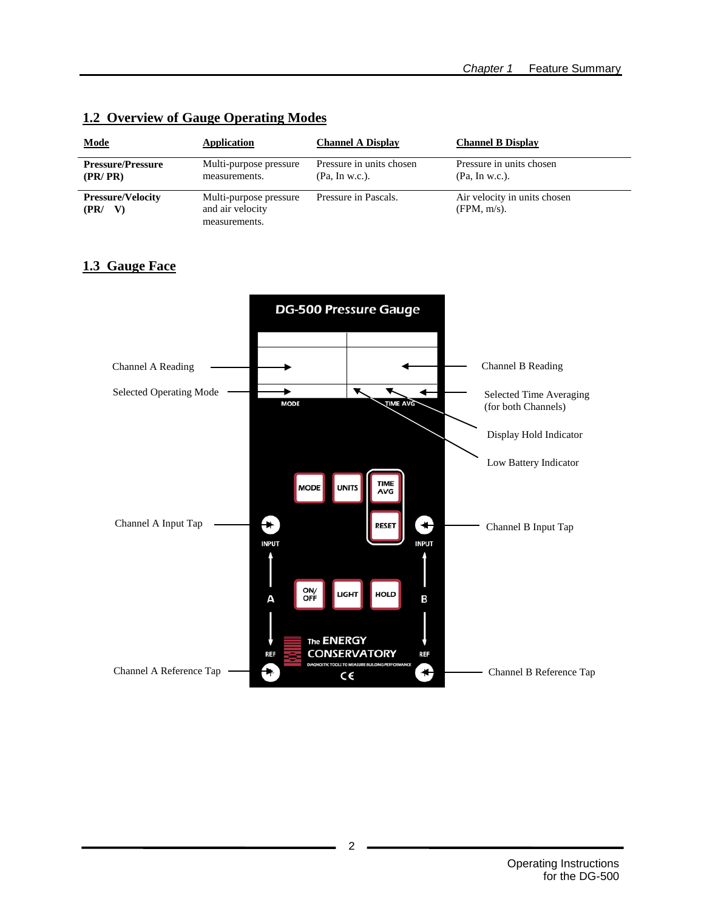| <b>Mode</b>                            | Application                                                 | <b>Channel A Display</b>                   | <b>Channel B Display</b>                       |
|----------------------------------------|-------------------------------------------------------------|--------------------------------------------|------------------------------------------------|
| <b>Pressure/Pressure</b><br>(PR/PR)    | Multi-purpose pressure<br>measurements.                     | Pressure in units chosen<br>(Pa, In w.c.). | Pressure in units chosen<br>(Pa, In w.c.).     |
| <b>Pressure/Velocity</b><br>(PR)<br>V) | Multi-purpose pressure<br>and air velocity<br>measurements. | Pressure in Pascals.                       | Air velocity in units chosen<br>$(FPM, m/s)$ . |

### **1.2 Overview of Gauge Operating Modes**

### **1.3 Gauge Face**

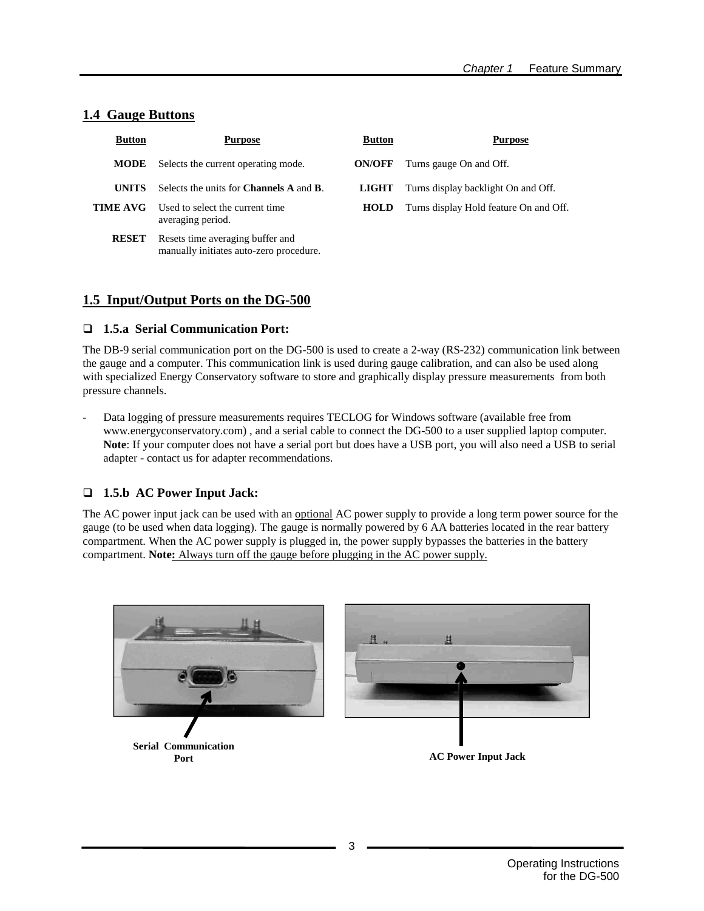### **1.4 Gauge Buttons**

| <b>Button</b> | <b>Purpose</b>                                                              | <b>Button</b> | <b>Purpose</b>                         |
|---------------|-----------------------------------------------------------------------------|---------------|----------------------------------------|
| <b>MODE</b>   | Selects the current operating mode.                                         | <b>ON/OFF</b> | Turns gauge On and Off.                |
| <b>UNITS</b>  | Selects the units for <b>Channels A</b> and <b>B</b> .                      | LIGHT         | Turns display backlight On and Off.    |
| TIME AVG-     | Used to select the current time<br>averaging period.                        | <b>HOLD</b>   | Turns display Hold feature On and Off. |
| <b>RESET</b>  | Resets time averaging buffer and<br>manually initiates auto-zero procedure. |               |                                        |

### **1.5 Input/Output Ports on the DG-500**

### **1.5.a Serial Communication Port:**

The DB-9 serial communication port on the DG-500 is used to create a 2-way (RS-232) communication link between the gauge and a computer. This communication link is used during gauge calibration, and can also be used along with specialized Energy Conservatory software to store and graphically display pressure measurements from both pressure channels.

- Data logging of pressure measurements requires TECLOG for Windows software (available free from www.energyconservatory.com) , and a serial cable to connect the DG-500 to a user supplied laptop computer. **Note**: If your computer does not have a serial port but does have a USB port, you will also need a USB to serial adapter - contact us for adapter recommendations.

### **1.5.b AC Power Input Jack:**

The AC power input jack can be used with an <u>optional</u> AC power supply to provide a long term power source for the gauge (to be used when data logging). The gauge is normally powered by 6 AA batteries located in the rear battery compartment. When the AC power supply is plugged in, the power supply bypasses the batteries in the battery compartment. **Note:** Always turn off the gauge before plugging in the AC power supply.

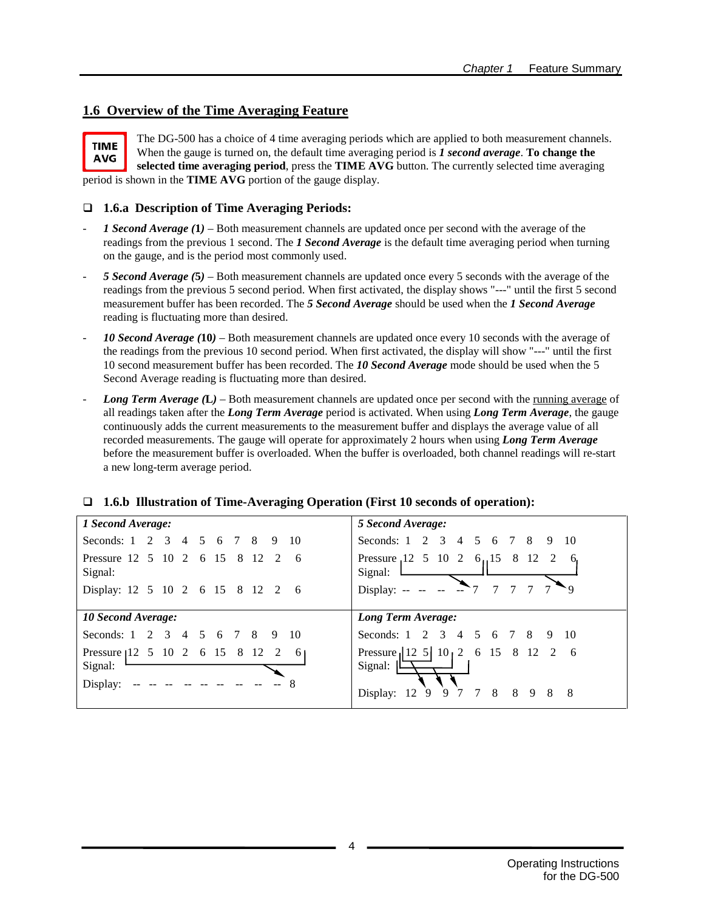### **1.6 Overview of the Time Averaging Feature**



The DG-500 has a choice of 4 time averaging periods which are applied to both measurement channels. When the gauge is turned on, the default time averaging period is *1 second average*. **To change the selected time averaging period**, press the **TIME AVG** button. The currently selected time averaging period is shown in the **TIME AVG** portion of the gauge display.

### **1.6.a Description of Time Averaging Periods:**

- *1 Second Average (***1***)* Both measurement channels are updated once per second with the average of the readings from the previous 1 second. The *1 Second Average* is the default time averaging period when turning on the gauge, and is the period most commonly used.
- *5 Second Average (***5***)* Both measurement channels are updated once every 5 seconds with the average of the readings from the previous 5 second period. When first activated, the display shows "---" until the first 5 second measurement buffer has been recorded. The *5 Second Average* should be used when the *1 Second Average* reading is fluctuating more than desired.
- 10 Second Average (10) Both measurement channels are updated once every 10 seconds with the average of the readings from the previous 10 second period. When first activated, the display will show "---" until the first 10 second measurement buffer has been recorded. The *10 Second Average* mode should be used when the 5 Second Average reading is fluctuating more than desired.
- *Long Term Average (***L***)* Both measurement channels are updated once per second with the running average of all readings taken after the *Long Term Average* period is activated. When using *Long Term Average*, the gauge continuously adds the current measurements to the measurement buffer and displays the average value of all recorded measurements. The gauge will operate for approximately 2 hours when using *Long Term Average* before the measurement buffer is overloaded. When the buffer is overloaded, both channel readings will re-start a new long-term average period.

| 1 Second Average:                                                                         | 5 Second Average:                                                                  |
|-------------------------------------------------------------------------------------------|------------------------------------------------------------------------------------|
| Seconds: $1 \quad 2 \quad 3$<br>5 <sup>5</sup><br>8<br>-10<br>6 7<br>$\overline{4}$<br>-9 | 2 3 4<br>Seconds: 1<br>5<br>8<br>7<br>- 9<br>10<br>6                               |
| Pressure 12 5 10 2 6 15 8 12 2<br>- 6<br>Signal:                                          | 8<br>Pressure 12 5 10 2<br>6.15<br>-12<br>- 2<br>6.<br>Signal:                     |
| Display: 12 5 10 2 6 15 8 12 2<br>- 6                                                     | Display: $-$                                                                       |
|                                                                                           |                                                                                    |
| <b>10 Second Average:</b>                                                                 | Long Term Average:                                                                 |
| Seconds: $1 \quad 2 \quad 3$<br>5 <sup>5</sup><br>6 7<br>8<br>-10<br>-9<br>4              | Seconds: $1 \quad 2 \quad 3 \quad 4$<br>.5<br>8<br>$\overline{7}$<br>-9<br>6<br>10 |
| Pressure 112 5 10 2 6 15 8 12<br>6<br>2<br>Signal:<br>Display:                            | Pressure $ 12 \t5  \t10 \t2 \t6 \t15 \t8 \t12 \t2$<br>- 6<br>Signal:               |

### **1.6.b Illustration of Time-Averaging Operation (First 10 seconds of operation):**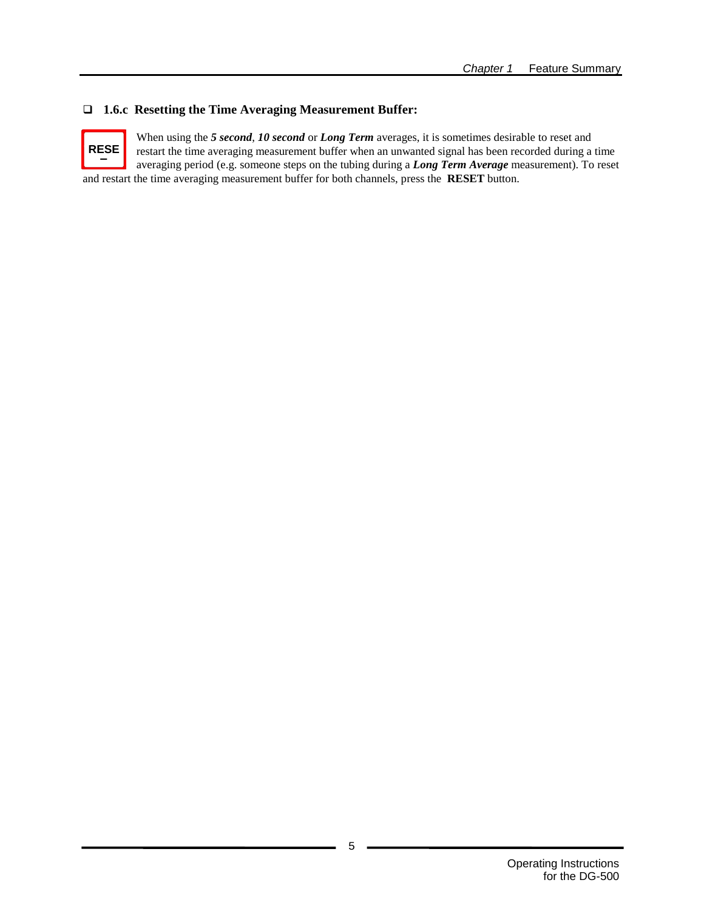### **1.6.c Resetting the Time Averaging Measurement Buffer:**



When using the *5 second*, *10 second* or *Long Term* averages, it is sometimes desirable to reset and restart the time averaging measurement buffer when an unwanted signal has been recorded during a time averaging period (e.g. someone steps on the tubing during a *Long Term Average* measurement). To reset and restart the time averaging measurement buffer for both channels, press the **RESET** button.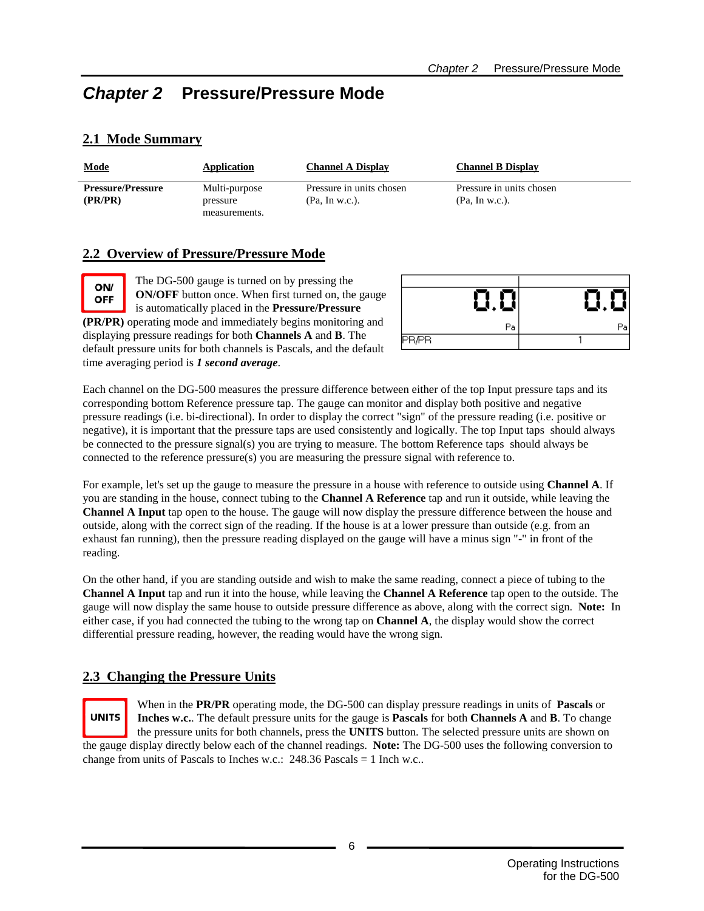# *Chapter 2* **Pressure/Pressure Mode**

## **2.1 Mode Summary**

ON/

**OFF** 

| <b>Mode</b>                         | Application               | <b>Channel A Display</b>                   | <b>Channel B Display</b>                   |
|-------------------------------------|---------------------------|--------------------------------------------|--------------------------------------------|
| <b>Pressure/Pressure</b><br>(PR/PR) | Multi-purpose<br>pressure | Pressure in units chosen<br>(Pa, In w.c.). | Pressure in units chosen<br>(Pa, In w.c.). |
|                                     | measurements.             |                                            |                                            |

### **2.2 Overview of Pressure/Pressure Mode**

time averaging period is *1 second average*.

The DG-500 gauge is turned on by pressing the **ON/OFF** button once. When first turned on, the gauge is automatically placed in the **Pressure/Pressure (PR/PR)** operating mode and immediately begins monitoring and displaying pressure readings for both **Channels A** and **B**. The default pressure units for both channels is Pascals, and the default

Ω.Ο Рa **PR/PR** 

Each channel on the DG-500 measures the pressure difference between either of the top Input pressure taps and its corresponding bottom Reference pressure tap. The gauge can monitor and display both positive and negative pressure readings (i.e. bi-directional). In order to display the correct "sign" of the pressure reading (i.e. positive or negative), it is important that the pressure taps are used consistently and logically. The top Input taps should always be connected to the pressure signal(s) you are trying to measure. The bottom Reference taps should always be connected to the reference pressure(s) you are measuring the pressure signal with reference to.

For example, let's set up the gauge to measure the pressure in a house with reference to outside using **Channel A**. If you are standing in the house, connect tubing to the **Channel A Reference** tap and run it outside, while leaving the **Channel A Input** tap open to the house. The gauge will now display the pressure difference between the house and outside, along with the correct sign of the reading. If the house is at a lower pressure than outside (e.g. from an exhaust fan running), then the pressure reading displayed on the gauge will have a minus sign "-" in front of the reading.

On the other hand, if you are standing outside and wish to make the same reading, connect a piece of tubing to the **Channel A Input** tap and run it into the house, while leaving the **Channel A Reference** tap open to the outside. The gauge will now display the same house to outside pressure difference as above, along with the correct sign. **Note:** In either case, if you had connected the tubing to the wrong tap on **Channel A**, the display would show the correct differential pressure reading, however, the reading would have the wrong sign.

### **2.3 Changing the Pressure Units**



When in the **PR/PR** operating mode, the DG-500 can display pressure readings in units of **Pascals** or **Inches w.c.**. The default pressure units for the gauge is **Pascals** for both **Channels A** and **B**. To change the pressure units for both channels, press the **UNITS** button. The selected pressure units are shown on the gauge display directly below each of the channel readings. **Note:** The DG-500 uses the following conversion to

change from units of Pascals to Inches w.c.: 248.36 Pascals = 1 Inch w.c..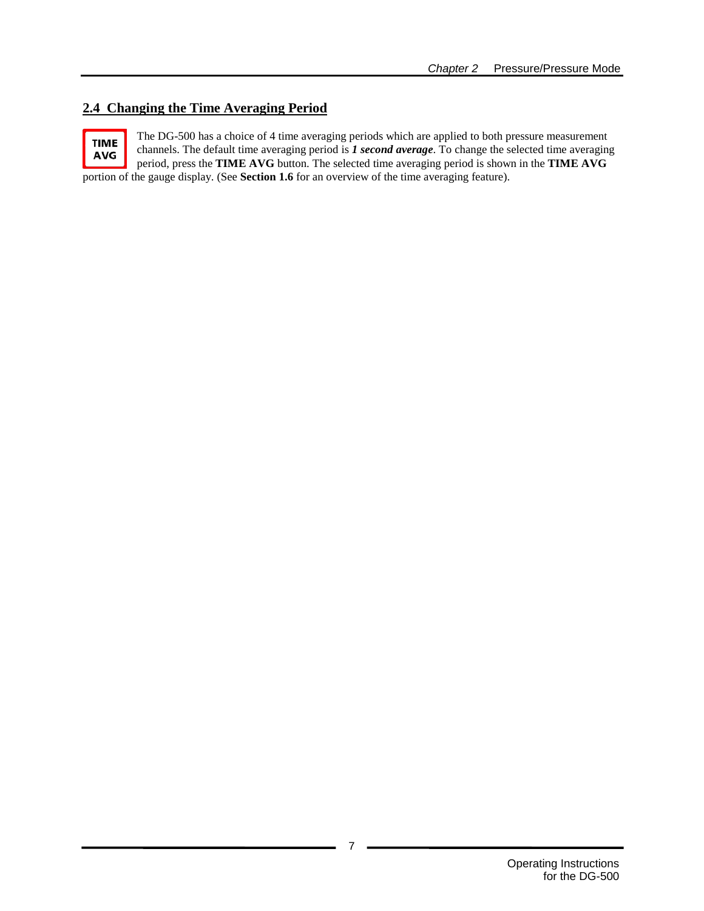### **2.4 Changing the Time Averaging Period**

The DG-500 has a choice of 4 time averaging periods which are applied to both pressure measurement **TIME** channels. The default time averaging period is *1 second average*. To change the selected time averaging **AVG** period, press the **TIME AVG** button. The selected time averaging period is shown in the **TIME AVG** portion of the gauge display. (See **Section 1.6** for an overview of the time averaging feature).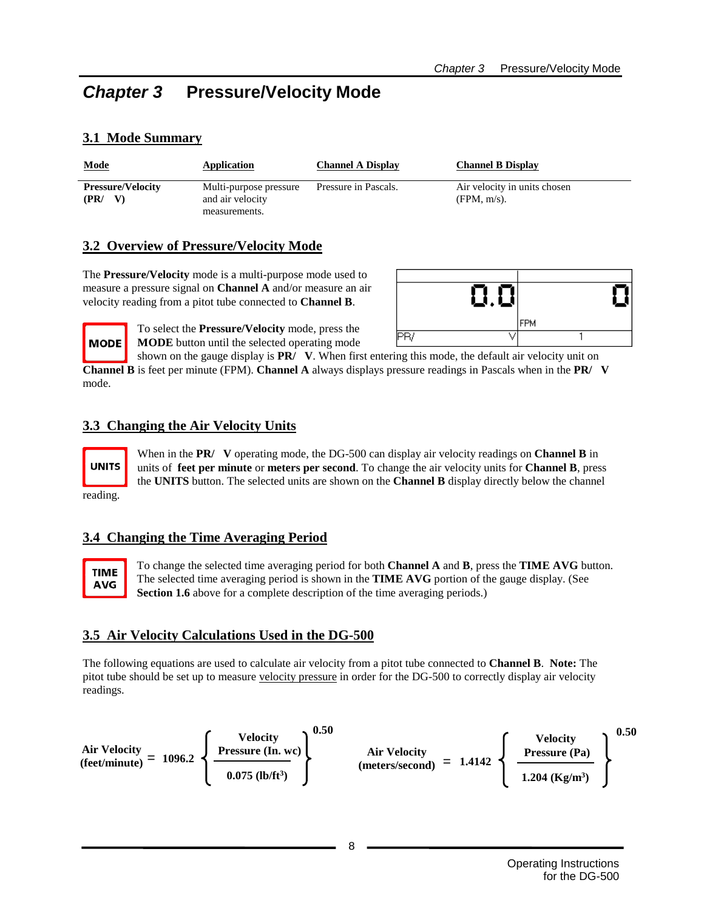# *Chapter 3* **Pressure/Velocity Mode**

| <b>Mode</b>                      | Application                                | <b>Channel A Display</b> | <b>Channel B Display</b>                       |
|----------------------------------|--------------------------------------------|--------------------------|------------------------------------------------|
| <b>Pressure/Velocity</b><br>(PR) | Multi-purpose pressure<br>and air velocity | Pressure in Pascals.     | Air velocity in units chosen<br>$(FPM, m/s)$ . |
|                                  | measurements.                              |                          |                                                |

### **3.1 Mode Summary**

### **3.2 Overview of Pressure/Velocity Mode**

The **Pressure/Velocity** mode is a multi-purpose mode used to measure a pressure signal on **Channel A** and/or measure an air velocity reading from a pitot tube connected to **Channel B**.



To select the **Pressure/Velocity** mode, press the **MODE** button until the selected operating mode

shown on the gauge display is **PR/ V**. When first entering this mode, the default air velocity unit on **Channel B** is feet per minute (FPM). **Channel A** always displays pressure readings in Pascals when in the **PR/ V** mode.

### **3.3 Changing the Air Velocity Units**



**MODE** 

When in the **PR/ V** operating mode, the DG-500 can display air velocity readings on **Channel B** in units of **feet per minute** or **meters per second**. To change the air velocity units for **Channel B**, press the **UNITS** button. The selected units are shown on the **Channel B** display directly below the channel

reading.

### **3.4 Changing the Time Averaging Period**



To change the selected time averaging period for both **Channel A** and **B**, press the **TIME AVG** button. The selected time averaging period is shown in the **TIME AVG** portion of the gauge display. (See **Section 1.6** above for a complete description of the time averaging periods.)

### **3.5 Air Velocity Calculations Used in the DG-500**

The following equations are used to calculate air velocity from a pitot tube connected to **Channel B**. **Note:** The pitot tube should be set up to measure velocity pressure in order for the DG-500 to correctly display air velocity readings.

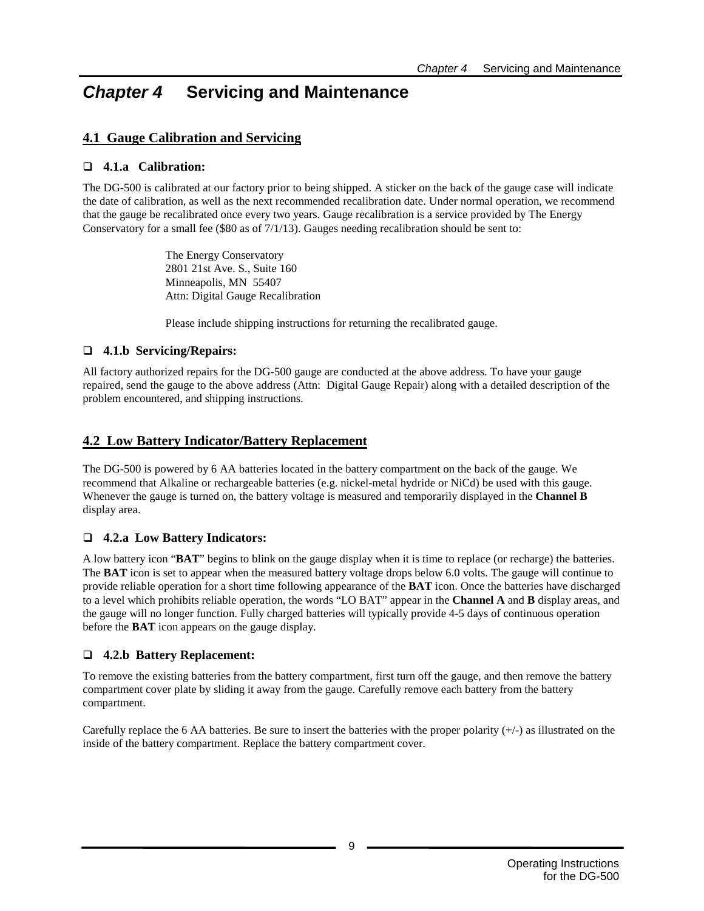# *Chapter 4* **Servicing and Maintenance**

### **4.1 Gauge Calibration and Servicing**

### **4.1.a Calibration:**

The DG-500 is calibrated at our factory prior to being shipped. A sticker on the back of the gauge case will indicate the date of calibration, as well as the next recommended recalibration date. Under normal operation, we recommend that the gauge be recalibrated once every two years. Gauge recalibration is a service provided by The Energy Conservatory for a small fee (\$80 as of 7/1/13). Gauges needing recalibration should be sent to:

> The Energy Conservatory 2801 21st Ave. S., Suite 160 Minneapolis, MN 55407 Attn: Digital Gauge Recalibration

Please include shipping instructions for returning the recalibrated gauge.

### **4.1.b Servicing/Repairs:**

All factory authorized repairs for the DG-500 gauge are conducted at the above address. To have your gauge repaired, send the gauge to the above address (Attn: Digital Gauge Repair) along with a detailed description of the problem encountered, and shipping instructions.

### **4.2 Low Battery Indicator/Battery Replacement**

The DG-500 is powered by 6 AA batteries located in the battery compartment on the back of the gauge. We recommend that Alkaline or rechargeable batteries (e.g. nickel-metal hydride or NiCd) be used with this gauge. Whenever the gauge is turned on, the battery voltage is measured and temporarily displayed in the **Channel B** display area.

### **4.2.a Low Battery Indicators:**

A low battery icon "**BAT**" begins to blink on the gauge display when it is time to replace (or recharge) the batteries. The **BAT** icon is set to appear when the measured battery voltage drops below 6.0 volts. The gauge will continue to provide reliable operation for a short time following appearance of the **BAT** icon. Once the batteries have discharged to a level which prohibits reliable operation, the words "LO BAT" appear in the **Channel A** and **B** display areas, and the gauge will no longer function. Fully charged batteries will typically provide 4-5 days of continuous operation before the **BAT** icon appears on the gauge display.

### **4.2.b Battery Replacement:**

To remove the existing batteries from the battery compartment, first turn off the gauge, and then remove the battery compartment cover plate by sliding it away from the gauge. Carefully remove each battery from the battery compartment.

Carefully replace the 6 AA batteries. Be sure to insert the batteries with the proper polarity  $(+)$  as illustrated on the inside of the battery compartment. Replace the battery compartment cover.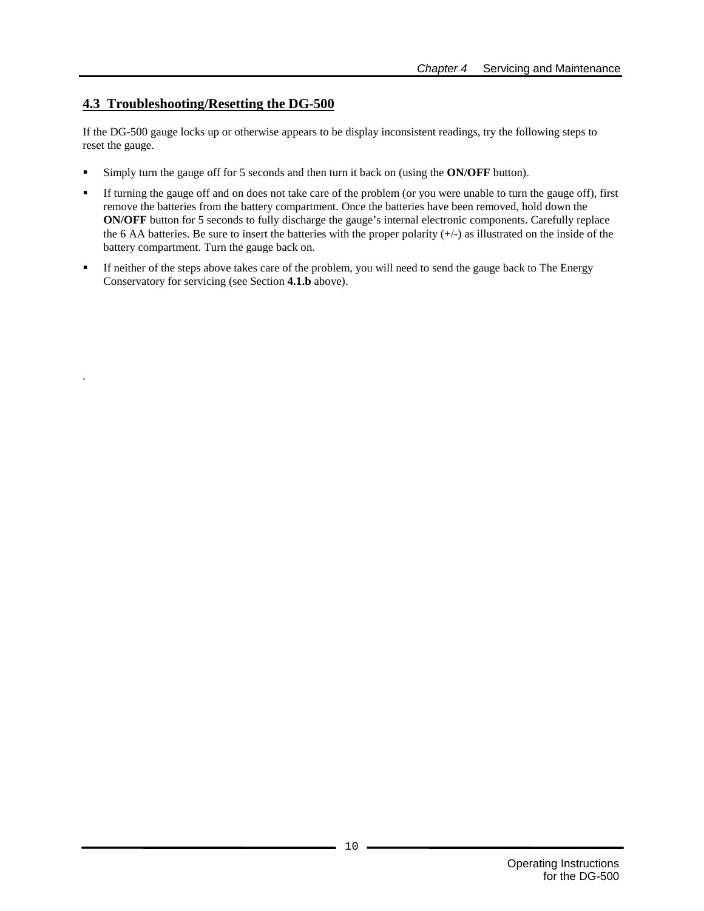### **4.3 Troubleshooting/Resetting the DG-500**

.

If the DG-500 gauge locks up or otherwise appears to be display inconsistent readings, try the following steps to reset the gauge.

- Simply turn the gauge off for 5 seconds and then turn it back on (using the **ON/OFF** button).
- If turning the gauge off and on does not take care of the problem (or you were unable to turn the gauge off), first remove the batteries from the battery compartment. Once the batteries have been removed, hold down the **ON/OFF** button for 5 seconds to fully discharge the gauge's internal electronic components. Carefully replace the 6 AA batteries. Be sure to insert the batteries with the proper polarity  $(+)$  as illustrated on the inside of the battery compartment. Turn the gauge back on.
- If neither of the steps above takes care of the problem, you will need to send the gauge back to The Energy Conservatory for servicing (see Section **4.1.b** above).